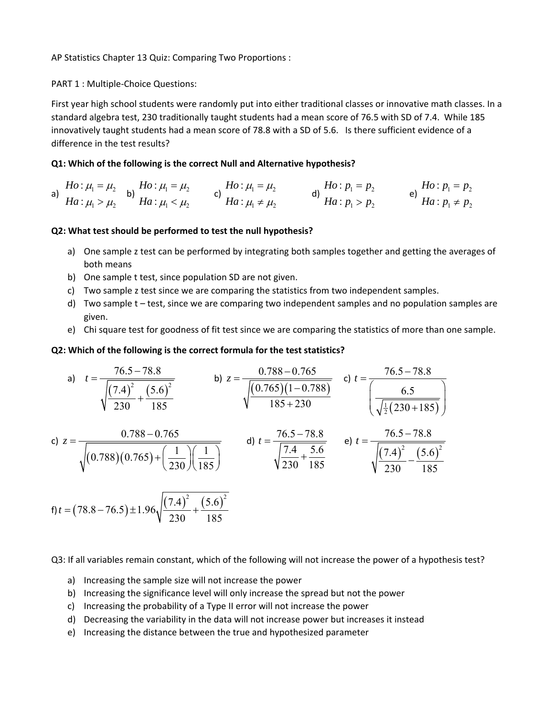AP Statistics Chapter 13 Quiz: Comparing Two Proportions :

PART 1 : Multiple‐Choice Questions:

First year high school students were randomly put into either traditional classes or innovative math classes. In a standard algebra test, 230 traditionally taught students had a mean score of 76.5 with SD of 7.4. While 185 innovatively taught students had a mean score of 78.8 with a SD of 5.6. Is there sufficient evidence of a difference in the test results?

# **Q1: Which of the following is the correct Null and Alternative hypothesis?**

a) 
$$
Ho: \mu_1 = \mu_2
$$
  
\n $Ha: \mu_1 > \mu_2$   
\nb)  $Ha: \mu_1 < \mu_2$   
\nc)  $Ho: \mu_1 = \mu_2$   
\nd)  $Ho: p_1 = p_2$   
\nd)  $Ho: p_1 = p_2$   
\n $Ha: p_1 > p_2$   
\ne)  $Ha: p_1 \neq p_2$ 

# **Q2: What test should be performed to test the null hypothesis?**

- a) One sample z test can be performed by integrating both samples together and getting the averages of both means
- b) One sample t test, since population SD are not given.
- c) Two sample z test since we are comparing the statistics from two independent samples.
- d) Two sample t test, since we are comparing two independent samples and no population samples are given.
- e) Chi square test for goodness of fit test since we are comparing the statistics of more than one sample.

# **Q2: Which of the following is the correct formula for the test statistics?**

a) 
$$
t = \frac{76.5 - 78.8}{\sqrt{\frac{(7.4)^2}{230} + \frac{(5.6)^2}{185}}}
$$
  
b)  $z = \frac{0.788 - 0.765}{\sqrt{\frac{(0.765)(1 - 0.788)}{185 + 230}}}$   
c)  $t = \frac{76.5 - 78.8}{\sqrt{\frac{6.5}{2(230 + 185)}}}$   
d)  $t = \frac{76.5 - 78.8}{\sqrt{\frac{7.4}{230} + \frac{5.6}{185}}}$   
e)  $t = \frac{76.5 - 78.8}{\sqrt{\frac{(7.4)^2}{230} - \frac{(5.6)^2}{185}}}$   
f)  $t = (78.8 - 76.5) \pm 1.96 \sqrt{\frac{(7.4)^2}{230} + \frac{(5.6)^2}{185}}$ 

Q3: If all variables remain constant, which of the following will not increase the power of a hypothesis test?

- a) Increasing the sample size will not increase the power
- b) Increasing the significance level will only increase the spread but not the power
- c) Increasing the probability of a Type II error will not increase the power
- d) Decreasing the variability in the data will not increase power but increases it instead
- e) Increasing the distance between the true and hypothesized parameter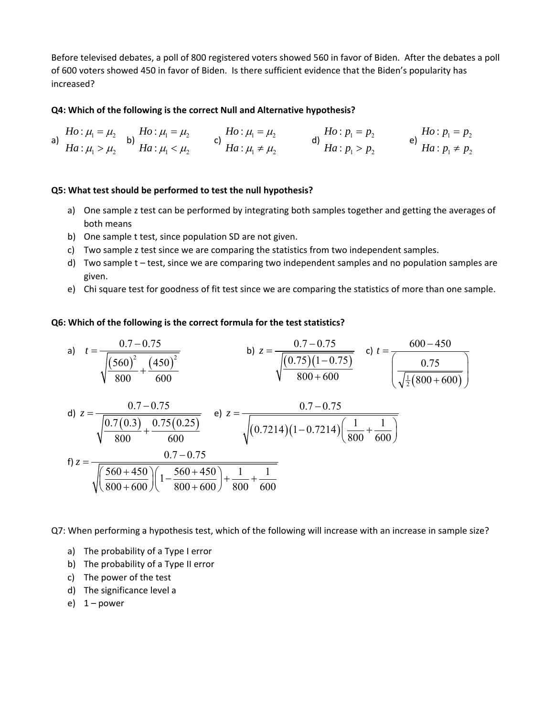Before televised debates, a poll of 800 registered voters showed 560 in favor of Biden. After the debates a poll of 600 voters showed 450 in favor of Biden. Is there sufficient evidence that the Biden's popularity has increased?

### **Q4: Which of the following is the correct Null and Alternative hypothesis?**

a)  $\mu_1 - \mu_2$  $1 - \mu_2$ : : *Ho Ha*  $\mu_{\text{\tiny{l}}} = \mu_{\text{\tiny{l}}}$  $\mu_{\text{\tiny{l}}} > \mu_{\text{\tiny{l}}}$  $=$   $\mu_2$  b)  $Ho: \mu_1 = \mu_2$ <br>  $> \mu_2$  b)  $Ha: \mu_1 < \mu_2$ : : *Ho Ha*  $\mu_{\text{\tiny{l}}} = \mu_{\text{\tiny{l}}}$  $\mu_{\text{\tiny{l}}} < \mu_{\text{\tiny{l}}}$  $=$  $\lt$ c)  $\mu_1 - \mu_2$  $1 + \mu_2$ : : *Ho Ha*  $\mu_{\text{\tiny{l}}} = \mu_{\text{\tiny{l}}}$  $\mu_{\text{\tiny{l}}} \neq \mu_{\text{\tiny{l}}}$  $=$   $\mu_2$   $\qquad$  d)  $\frac{Ho : p_1 = p_2}{Ha : p_1 > p_2}$ : : *Ho* :  $p_1 = p$ *Ha* :  $p_1 > p$  $= p_2$ <br>  $> p_2$   $=$   $\theta$ )  $Ha : p_1 \neq p_2$ <br>  $Ha : p_1 \neq p_2$ : : *Ho* :  $p_1 = p$  $Ha: p_1 \neq p$  $=$  $\neq$ 

#### **Q5: What test should be performed to test the null hypothesis?**

- a) One sample z test can be performed by integrating both samples together and getting the averages of both means
- b) One sample t test, since population SD are not given.
- c) Two sample z test since we are comparing the statistics from two independent samples.
- d) Two sample t test, since we are comparing two independent samples and no population samples are given.
- e) Chi square test for goodness of fit test since we are comparing the statistics of more than one sample.

#### **Q6: Which of the following is the correct formula for the test statistics?**

a) 
$$
t = \frac{0.7 - 0.75}{\sqrt{\frac{(560)^2}{800} + \frac{(450)^2}{600}}}
$$
 b)  $z = \frac{0.7 - 0.75}{\sqrt{\frac{(0.75)(1 - 0.75)}{800 + 600}}}$  c)  $t = \frac{600 - 450}{\sqrt{\frac{1}{2}(800 + 600)}}$ 

d) 
$$
z = \frac{0.7 - 0.75}{\sqrt{\frac{0.7(0.3)}{800} + \frac{0.75(0.25)}{600}}} \quad \text{e) } z = \frac{0.7 - 0.75}{\sqrt{(0.7214)(1 - 0.7214)(\frac{1}{800} + \frac{1}{600})}}
$$
  
f)  $z = \frac{0.7 - 0.75}{\sqrt{\left(\frac{560 + 450}{800 + 600}\right)\left(1 - \frac{560 + 450}{800 + 600}\right) + \frac{1}{800} + \frac{1}{600}}}$ 

Q7: When performing a hypothesis test, which of the following will increase with an increase in sample size?

- a) The probability of a Type I error
- b) The probability of a Type II error
- c) The power of the test
- d) The significance level a
- e)  $1 power$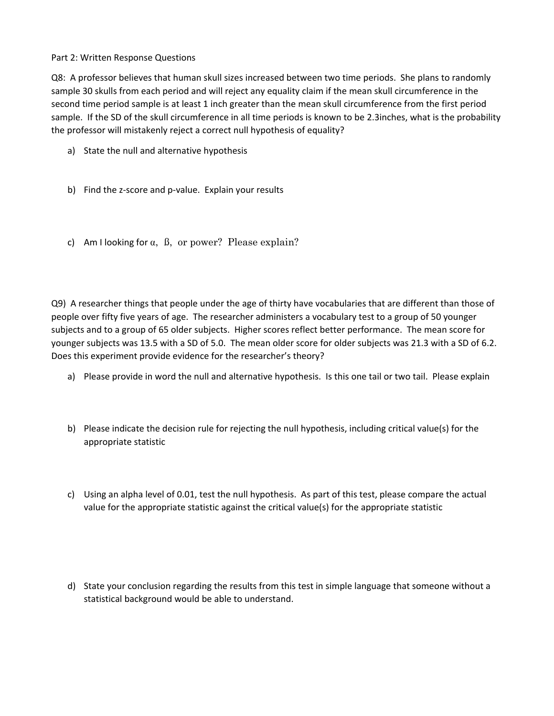Part 2: Written Response Questions

Q8: A professor believes that human skull sizes increased between two time periods. She plans to randomly sample 30 skulls from each period and will reject any equality claim if the mean skull circumference in the second time period sample is at least 1 inch greater than the mean skull circumference from the first period sample. If the SD of the skull circumference in all time periods is known to be 2.3inches, what is the probability the professor will mistakenly reject a correct null hypothesis of equality?

- a) State the null and alternative hypothesis
- b) Find the z-score and p-value. Explain your results
- c) Am I looking for  $\alpha$ ,  $\beta$ , or power? Please explain?

Q9) A researcher things that people under the age of thirty have vocabularies that are different than those of people over fifty five years of age. The researcher administers a vocabulary test to a group of 50 younger subjects and to a group of 65 older subjects. Higher scores reflect better performance. The mean score for younger subjects was 13.5 with a SD of 5.0. The mean older score for older subjects was 21.3 with a SD of 6.2. Does this experiment provide evidence for the researcher's theory?

- a) Please provide in word the null and alternative hypothesis. Is this one tail or two tail. Please explain
- b) Please indicate the decision rule for rejecting the null hypothesis, including critical value(s) for the appropriate statistic
- c) Using an alpha level of 0.01, test the null hypothesis. As part of this test, please compare the actual value for the appropriate statistic against the critical value(s) for the appropriate statistic
- d) State your conclusion regarding the results from this test in simple language that someone without a statistical background would be able to understand.